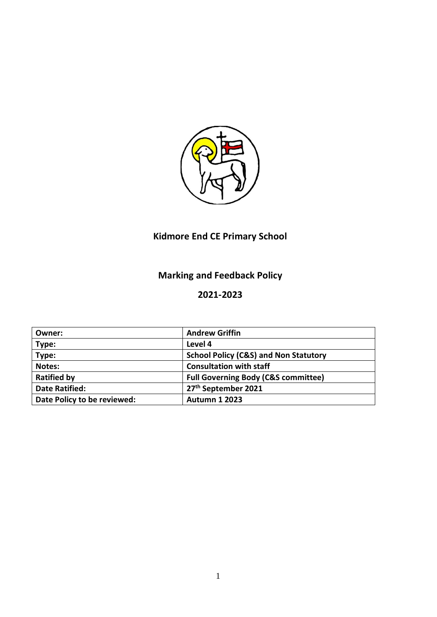

# **Kidmore End CE Primary School**

# **Marking and Feedback Policy**

# **2021-2023**

| Owner:                      | <b>Andrew Griffin</b>                            |
|-----------------------------|--------------------------------------------------|
| Type:                       | Level 4                                          |
| Type:                       | <b>School Policy (C&amp;S) and Non Statutory</b> |
| Notes:                      | <b>Consultation with staff</b>                   |
| <b>Ratified by</b>          | <b>Full Governing Body (C&amp;S committee)</b>   |
| <b>Date Ratified:</b>       | 27 <sup>th</sup> September 2021                  |
| Date Policy to be reviewed: | <b>Autumn 1 2023</b>                             |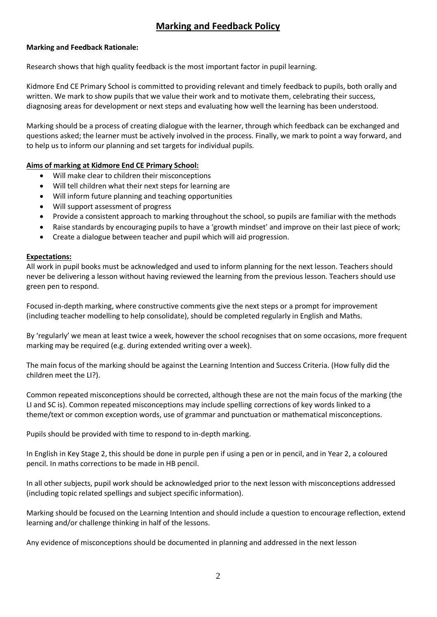# **Marking and Feedback Policy**

# **Marking and Feedback Rationale:**

Research shows that high quality feedback is the most important factor in pupil learning.

Kidmore End CE Primary School is committed to providing relevant and timely feedback to pupils, both orally and written. We mark to show pupils that we value their work and to motivate them, celebrating their success, diagnosing areas for development or next steps and evaluating how well the learning has been understood.

Marking should be a process of creating dialogue with the learner, through which feedback can be exchanged and questions asked; the learner must be actively involved in the process. Finally, we mark to point a way forward, and to help us to inform our planning and set targets for individual pupils.

# **Aims of marking at Kidmore End CE Primary School:**

- Will make clear to children their misconceptions
- Will tell children what their next steps for learning are
- Will inform future planning and teaching opportunities
- Will support assessment of progress
- Provide a consistent approach to marking throughout the school, so pupils are familiar with the methods
- Raise standards by encouraging pupils to have a 'growth mindset' and improve on their last piece of work;
- Create a dialogue between teacher and pupil which will aid progression.

## **Expectations:**

All work in pupil books must be acknowledged and used to inform planning for the next lesson. Teachers should never be delivering a lesson without having reviewed the learning from the previous lesson. Teachers should use green pen to respond.

Focused in-depth marking, where constructive comments give the next steps or a prompt for improvement (including teacher modelling to help consolidate), should be completed regularly in English and Maths.

By 'regularly' we mean at least twice a week, however the school recognises that on some occasions, more frequent marking may be required (e.g. during extended writing over a week).

The main focus of the marking should be against the Learning Intention and Success Criteria. (How fully did the children meet the LI?).

Common repeated misconceptions should be corrected, although these are not the main focus of the marking (the LI and SC is). Common repeated misconceptions may include spelling corrections of key words linked to a theme/text or common exception words, use of grammar and punctuation or mathematical misconceptions.

Pupils should be provided with time to respond to in-depth marking.

In English in Key Stage 2, this should be done in purple pen if using a pen or in pencil, and in Year 2, a coloured pencil. In maths corrections to be made in HB pencil.

In all other subjects, pupil work should be acknowledged prior to the next lesson with misconceptions addressed (including topic related spellings and subject specific information).

Marking should be focused on the Learning Intention and should include a question to encourage reflection, extend learning and/or challenge thinking in half of the lessons.

Any evidence of misconceptions should be documented in planning and addressed in the next lesson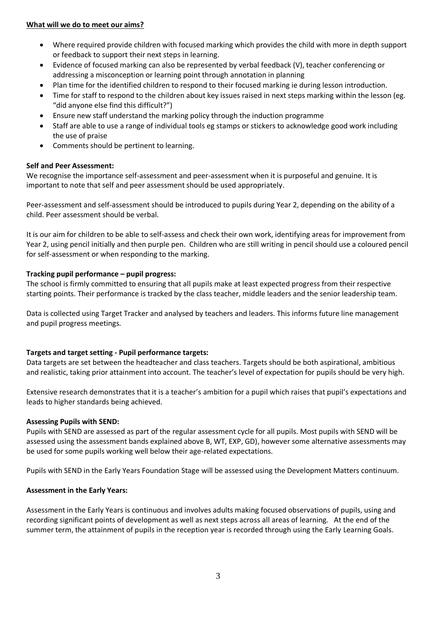#### **What will we do to meet our aims?**

- Where required provide children with focused marking which provides the child with more in depth support or feedback to support their next steps in learning.
- Evidence of focused marking can also be represented by verbal feedback (V), teacher conferencing or addressing a misconception or learning point through annotation in planning
- Plan time for the identified children to respond to their focused marking ie during lesson introduction.
- Time for staff to respond to the children about key issues raised in next steps marking within the lesson (eg. "did anyone else find this difficult?")
- Ensure new staff understand the marking policy through the induction programme
- Staff are able to use a range of individual tools eg stamps or stickers to acknowledge good work including the use of praise
- Comments should be pertinent to learning.

## **Self and Peer Assessment:**

We recognise the importance self-assessment and peer-assessment when it is purposeful and genuine. It is important to note that self and peer assessment should be used appropriately.

Peer-assessment and self-assessment should be introduced to pupils during Year 2, depending on the ability of a child. Peer assessment should be verbal.

It is our aim for children to be able to self-assess and check their own work, identifying areas for improvement from Year 2, using pencil initially and then purple pen. Children who are still writing in pencil should use a coloured pencil for self-assessment or when responding to the marking.

## **Tracking pupil performance – pupil progress:**

The school is firmly committed to ensuring that all pupils make at least expected progress from their respective starting points. Their performance is tracked by the class teacher, middle leaders and the senior leadership team.

Data is collected using Target Tracker and analysed by teachers and leaders. This informs future line management and pupil progress meetings.

## **Targets and target setting - Pupil performance targets:**

Data targets are set between the headteacher and class teachers. Targets should be both aspirational, ambitious and realistic, taking prior attainment into account. The teacher's level of expectation for pupils should be very high.

Extensive research demonstrates that it is a teacher's ambition for a pupil which raises that pupil's expectations and leads to higher standards being achieved.

## **Assessing Pupils with SEND:**

Pupils with SEND are assessed as part of the regular assessment cycle for all pupils. Most pupils with SEND will be assessed using the assessment bands explained above B, WT, EXP, GD), however some alternative assessments may be used for some pupils working well below their age-related expectations.

Pupils with SEND in the Early Years Foundation Stage will be assessed using the Development Matters continuum.

#### **Assessment in the Early Years:**

Assessment in the Early Years is continuous and involves adults making focused observations of pupils, using and recording significant points of development as well as next steps across all areas of learning. At the end of the summer term, the attainment of pupils in the reception year is recorded through using the Early Learning Goals.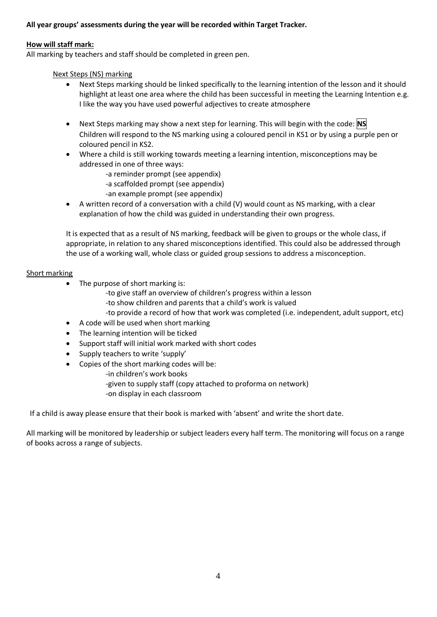# **All year groups' assessments during the year will be recorded within Target Tracker.**

#### **How will staff mark:**

All marking by teachers and staff should be completed in green pen.

Next Steps (NS) marking

- Next Steps marking should be linked specifically to the learning intention of the lesson and it should highlight at least one area where the child has been successful in meeting the Learning Intention e.g. I like the way you have used powerful adjectives to create atmosphere
- Next Steps marking may show a next step for learning. This will begin with the code: **NS** Children will respond to the NS marking using a coloured pencil in KS1 or by using a purple pen or coloured pencil in KS2.
- Where a child is still working towards meeting a learning intention, misconceptions may be addressed in one of three ways:
	- -a reminder prompt (see appendix)
	- -a scaffolded prompt (see appendix)
	- -an example prompt (see appendix)
- A written record of a conversation with a child (V) would count as NS marking, with a clear explanation of how the child was guided in understanding their own progress.

It is expected that as a result of NS marking, feedback will be given to groups or the whole class, if appropriate, in relation to any shared misconceptions identified. This could also be addressed through the use of a working wall, whole class or guided group sessions to address a misconception.

#### Short marking

- The purpose of short marking is:
	- -to give staff an overview of children's progress within a lesson
	- -to show children and parents that a child's work is valued
	- -to provide a record of how that work was completed (i.e. independent, adult support, etc)
- A code will be used when short marking
- The learning intention will be ticked
- Support staff will initial work marked with short codes
- Supply teachers to write 'supply'
- Copies of the short marking codes will be:
	- -in children's work books
	- -given to supply staff (copy attached to proforma on network)
	- -on display in each classroom

If a child is away please ensure that their book is marked with 'absent' and write the short date.

All marking will be monitored by leadership or subject leaders every half term. The monitoring will focus on a range of books across a range of subjects.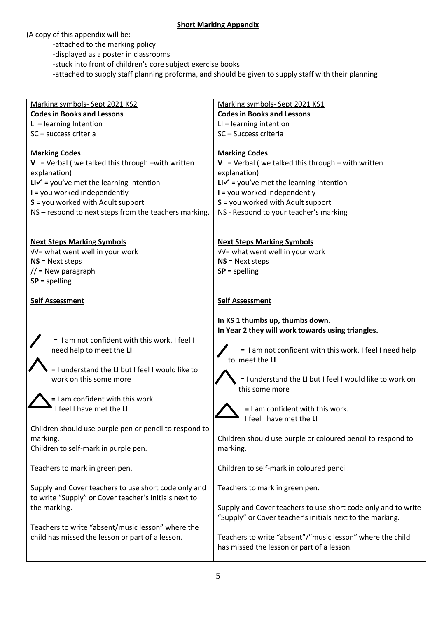## **Short Marking Appendix**

(A copy of this appendix will be:

-attached to the marking policy

-displayed as a poster in classrooms

-stuck into front of children's core subject exercise books

-attached to supply staff planning proforma, and should be given to supply staff with their planning

| Marking symbols- Sept 2021 KS2                         | Marking symbols- Sept 2021 KS1                                                                          |
|--------------------------------------------------------|---------------------------------------------------------------------------------------------------------|
| <b>Codes in Books and Lessons</b>                      | <b>Codes in Books and Lessons</b>                                                                       |
| $LI$ – learning Intention                              | $LI$ – learning intention                                                                               |
| SC - success criteria                                  | SC-Success criteria                                                                                     |
|                                                        |                                                                                                         |
| <b>Marking Codes</b>                                   | <b>Marking Codes</b>                                                                                    |
| $V = V$ verbal (we talked this through -with written   | $V = V$ verbal (we talked this through – with written                                                   |
| explanation)                                           | explanation)                                                                                            |
| $LI\checkmark$ = you've met the learning intention     | $LI\checkmark$ = you've met the learning intention                                                      |
| $I =$ you worked independently                         | $I =$ you worked independently                                                                          |
| $S =$ you worked with Adult support                    | $S =$ you worked with Adult support                                                                     |
| NS - respond to next steps from the teachers marking.  | NS - Respond to your teacher's marking                                                                  |
|                                                        |                                                                                                         |
|                                                        |                                                                                                         |
| <b>Next Steps Marking Symbols</b>                      | <b>Next Steps Marking Symbols</b>                                                                       |
| √√= what went well in your work                        | VV= what went well in your work                                                                         |
| $NS = Next steps$                                      | $NS = Next steps$                                                                                       |
| $\frac{1}{2}$ = New paragraph                          | $SP = spelling$                                                                                         |
| $SP = spelling$                                        |                                                                                                         |
|                                                        |                                                                                                         |
| <b>Self Assessment</b>                                 | <b>Self Assessment</b>                                                                                  |
|                                                        |                                                                                                         |
|                                                        | In KS 1 thumbs up, thumbs down.                                                                         |
| = I am not confident with this work. I feel I          | In Year 2 they will work towards using triangles.                                                       |
| need help to meet the LI                               | = I am not confident with this work. I feel I need help                                                 |
|                                                        | to meet the LI                                                                                          |
| = I understand the LI but I feel I would like to       |                                                                                                         |
|                                                        |                                                                                                         |
|                                                        |                                                                                                         |
| work on this some more                                 | = I understand the LI but I feel I would like to work on                                                |
|                                                        | this some more                                                                                          |
| = I am confident with this work.                       |                                                                                                         |
| I feel I have met the LI                               | = I am confident with this work.                                                                        |
|                                                        | I feel I have met the LI                                                                                |
| Children should use purple pen or pencil to respond to |                                                                                                         |
| marking.                                               | Children should use purple or coloured pencil to respond to                                             |
| Children to self-mark in purple pen.                   | marking.                                                                                                |
|                                                        |                                                                                                         |
| Teachers to mark in green pen.                         | Children to self-mark in coloured pencil.                                                               |
|                                                        |                                                                                                         |
| Supply and Cover teachers to use short code only and   | Teachers to mark in green pen.                                                                          |
| to write "Supply" or Cover teacher's initials next to  |                                                                                                         |
| the marking.                                           | Supply and Cover teachers to use short code only and to write                                           |
|                                                        | "Supply" or Cover teacher's initials next to the marking.                                               |
| Teachers to write "absent/music lesson" where the      |                                                                                                         |
| child has missed the lesson or part of a lesson.       | Teachers to write "absent"/"music lesson" where the child<br>has missed the lesson or part of a lesson. |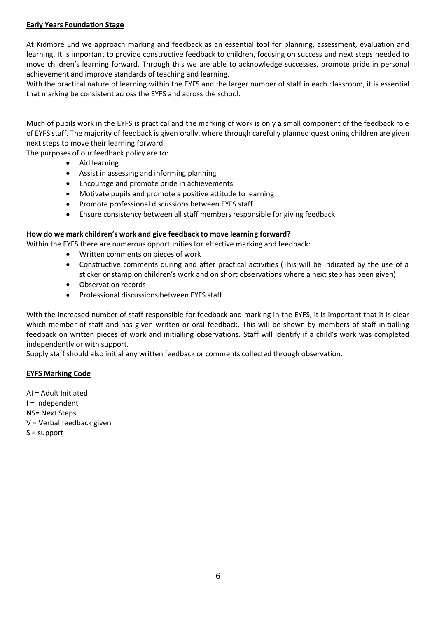#### **Early Years Foundation Stage**

At Kidmore End we approach marking and feedback as an essential tool for planning, assessment, evaluation and learning. It is important to provide constructive feedback to children, focusing on success and next steps needed to move children's learning forward. Through this we are able to acknowledge successes, promote pride in personal achievement and improve standards of teaching and learning.

With the practical nature of learning within the EYFS and the larger number of staff in each classroom, it is essential that marking be consistent across the EYFS and across the school.

Much of pupils work in the EYFS is practical and the marking of work is only a small component of the feedback role of EYFS staff. The majority of feedback is given orally, where through carefully planned questioning children are given next steps to move their learning forward.

The purposes of our feedback policy are to:

- Aid learning
- Assist in assessing and informing planning
- **•** Encourage and promote pride in achievements
- Motivate pupils and promote a positive attitude to learning
- Promote professional discussions between EYFS staff
- Ensure consistency between all staff members responsible for giving feedback

#### **How do we mark children's work and give feedback to move learning forward?**

Within the EYFS there are numerous opportunities for effective marking and feedback:

- Written comments on pieces of work
- Constructive comments during and after practical activities (This will be indicated by the use of a sticker or stamp on children's work and on short observations where a next step has been given)
- Observation records
- Professional discussions between EYFS staff

With the increased number of staff responsible for feedback and marking in the EYFS, it is important that it is clear which member of staff and has given written or oral feedback. This will be shown by members of staff initialling feedback on written pieces of work and initialling observations. Staff will identify if a child's work was completed independently or with support.

Supply staff should also initial any written feedback or comments collected through observation.

#### **EYFS Marking Code**

AI = Adult Initiated I = Independent NS= Next Steps V = Verbal feedback given S = support